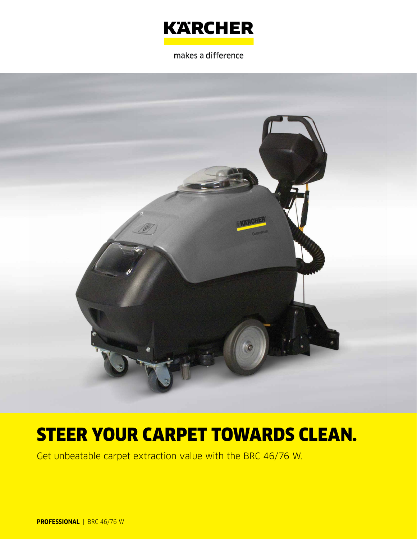

makes a difference



# STEER YOUR CARPET TOWARDS CLEAN.

Get unbeatable carpet extraction value with the BRC 46/76 W.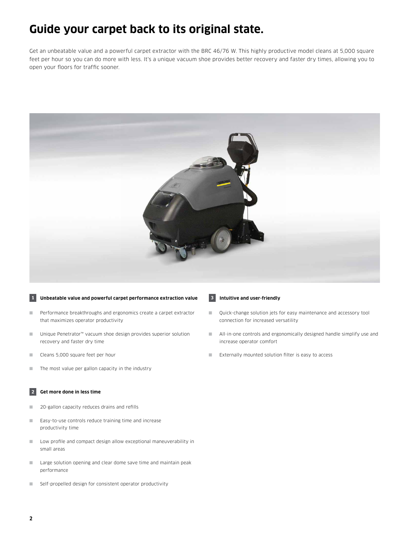### **Guide your carpet back to its original state.**

Get an unbeatable value and a powerful carpet extractor with the BRC 46/76 W. This highly productive model cleans at 5,000 square feet per hour so you can do more with less. It's a unique vacuum shoe provides better recovery and faster dry times, allowing you to open your floors for traffic sooner.



### **1 Unbeatable value and powerful carpet performance extraction value**

- Performance breakthroughs and ergonomics create a carpet extractor that maximizes operator productivity
- Unique Penetrator<sup>™</sup> vacuum shoe design provides superior solution recovery and faster dry time
- Cleans 5,000 square feet per hour
- The most value per gallon capacity in the industry

### **2 Get more done in less time**

- 20-gallon capacity reduces drains and refills
- Easy-to-use controls reduce training time and increase productivity time
- Low profile and compact design allow exceptional maneuverability in small areas
- Large solution opening and clear dome save time and maintain peak performance
- Self-propelled design for consistent operator productivity

### **3 Intuitive and user-friendly**

- Ouick-change solution jets for easy maintenance and accessory tool connection for increased versatility
- All-in-one controls and ergonomically designed handle simplify use and increase operator comfort
- Externally mounted solution filter is easy to access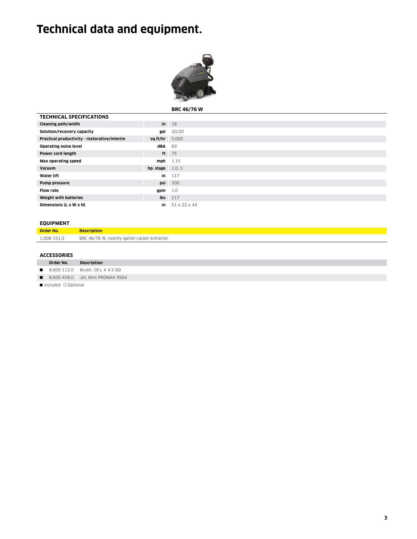## **Technical data and equipment.**



**BRC 46/76 W**

| <b>TECHNICAL SPECIFICATIONS</b>              |                           |                  |
|----------------------------------------------|---------------------------|------------------|
| Cleaning path/width                          |                           | $in$ 18          |
| Solution/recovery capacity                   | gal                       | 20/20            |
| Practical productivity - restorative/interim | $sq.ft/hr$ 5,000          |                  |
| <b>Operating noise level</b>                 | dBA 69                    |                  |
| Power cord length                            |                           | ft 75            |
| Max operating speed                          | $mph$ 1.15                |                  |
| <b>Vacuum</b>                                | <b>hp.</b> stage $1.0, 3$ |                  |
| <b>Water lift</b>                            | in                        | 117              |
| Pump pressure                                |                           | <b>psi</b> 100   |
| <b>Flow rate</b>                             | gpm                       | 1.0              |
| Weight with batteries                        |                           | $\text{lbs}$ 217 |
| Dimensions (L x W x H)                       | in                        | 51 x 22 x 44     |

### **EQUIPMENT**

| יירושות ווספט    |                                             |
|------------------|---------------------------------------------|
| <b>Order No.</b> | <b>Description</b>                          |
| 1.008-151.0      | BRC 46/76 W, twenty-gallon carpet extractor |

### **ACCESSORIES**

|                                                 | Order No. | Description                         |  |  |
|-------------------------------------------------|-----------|-------------------------------------|--|--|
|                                                 |           | ■ 8.600-112.0 Brush, 18 L X 4.5 OD  |  |  |
|                                                 |           | ■ 8.600-458.0 Jet, Mini PROMAX 9504 |  |  |
| $\blacksquare$ Included $\blacksquare$ Ontional |           |                                     |  |  |

■ Included □ Optional